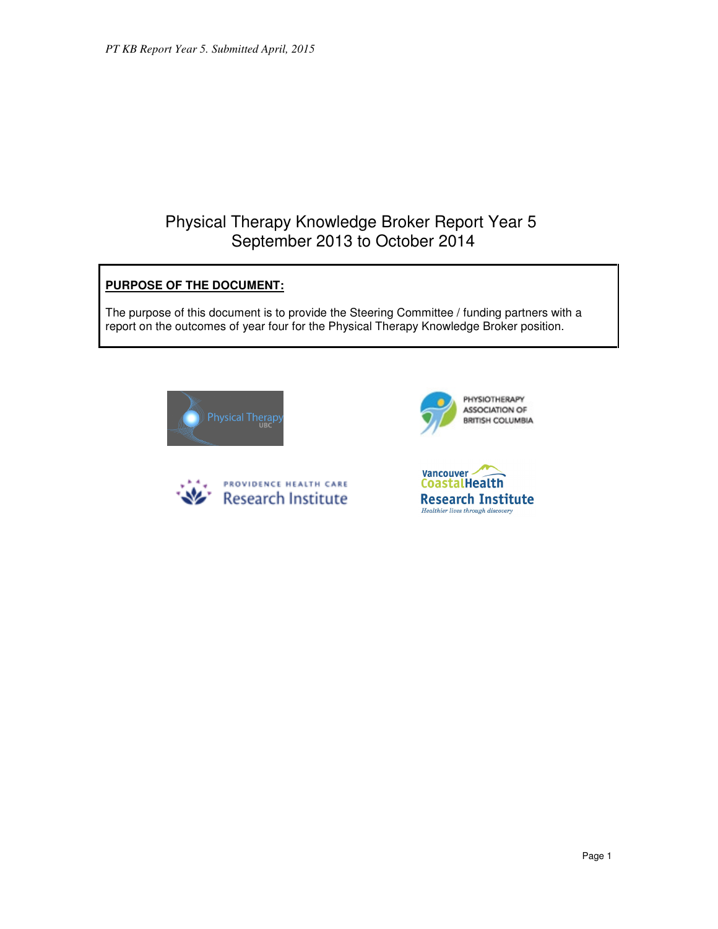# Physical Therapy Knowledge Broker Report Year 5 September 2013 to October 2014

# **PURPOSE OF THE DOCUMENT:**

The purpose of this document is to provide the Steering Committee / funding partners with a report on the outcomes of year four for the Physical Therapy Knowledge Broker position.







Vancouver -**CoastalHealth Research Institute** Healthier lives through discovery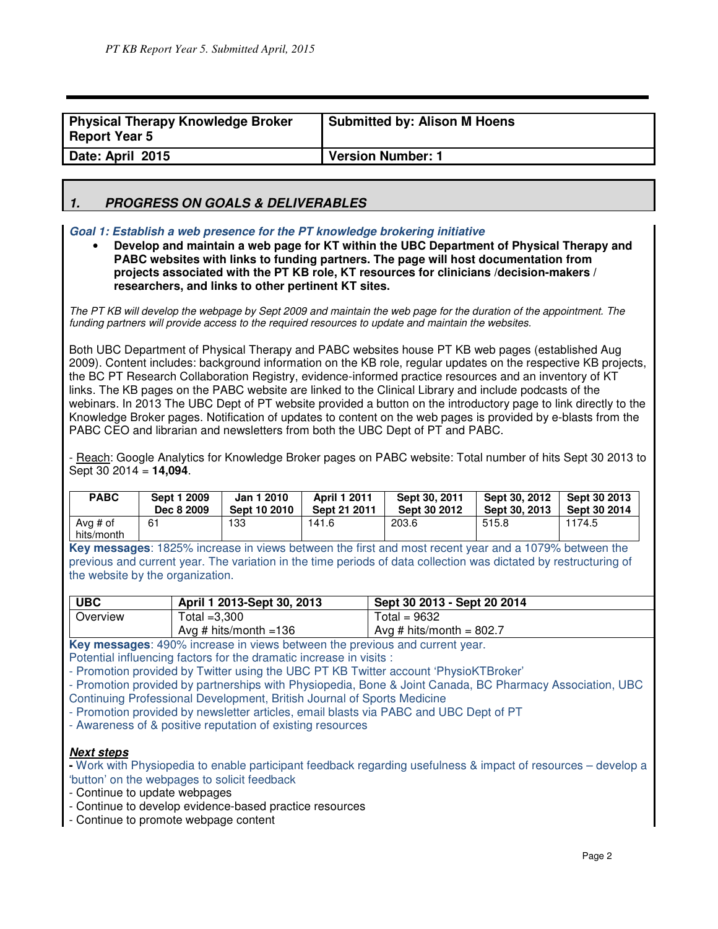| Physical Therapy Knowledge Broker<br><b>Report Year 5</b> | <b>Submitted by: Alison M Hoens</b> |
|-----------------------------------------------------------|-------------------------------------|
| Date: April 2015                                          | <b>Version Number: 1</b>            |

# **1. PROGRESS ON GOALS & DELIVERABLES**

## **Goal 1: Establish a web presence for the PT knowledge brokering initiative**

• **Develop and maintain a web page for KT within the UBC Department of Physical Therapy and PABC websites with links to funding partners. The page will host documentation from projects associated with the PT KB role, KT resources for clinicians /decision-makers / researchers, and links to other pertinent KT sites.**

The PT KB will develop the webpage by Sept 2009 and maintain the web page for the duration of the appointment. The funding partners will provide access to the required resources to update and maintain the websites.

Both UBC Department of Physical Therapy and PABC websites house PT KB web pages (established Aug 2009). Content includes: background information on the KB role, regular updates on the respective KB projects, the BC PT Research Collaboration Registry, evidence-informed practice resources and an inventory of KT links. The KB pages on the PABC website are linked to the Clinical Library and include podcasts of the webinars. In 2013 The UBC Dept of PT website provided a button on the introductory page to link directly to the Knowledge Broker pages. Notification of updates to content on the web pages is provided by e-blasts from the PABC CEO and librarian and newsletters from both the UBC Dept of PT and PABC.

- Reach: Google Analytics for Knowledge Broker pages on PABC website: Total number of hits Sept 30 2013 to Sept 30 2014 = **14,094**.

| <b>PABC</b>            | Sept 1 2009 | Jan 1 2010   | <b>April 1 2011</b> | Sept 30, 2011 | Sept 30, 2012 | Sept 30 2013 |
|------------------------|-------------|--------------|---------------------|---------------|---------------|--------------|
|                        | Dec 8 2009  | Sept 10 2010 | Sept 21 2011        | Sept 30 2012  | Sept 30, 2013 | Sept 30 2014 |
| Avg # of<br>hits/month | 61          | 133          | 141.6               | 203.6         | 515.8         | 1174.5       |

**Key messages**: 1825% increase in views between the first and most recent year and a 1079% between the previous and current year. The variation in the time periods of data collection was dictated by restructuring of the website by the organization.

| <b>UBC</b> | April 1 2013-Sept 30, 2013 | Sept 30 2013 - Sept 20 2014 |
|------------|----------------------------|-----------------------------|
| Overview   | Total $=3,300$             | Total = $9632$              |
|            | Avg # hits/month = $136$   | Avg # hits/month = $802.7$  |

**Key messages**: 490% increase in views between the previous and current year.

Potential influencing factors for the dramatic increase in visits :

- Promotion provided by Twitter using the UBC PT KB Twitter account 'PhysioKTBroker'

- Promotion provided by partnerships with Physiopedia, Bone & Joint Canada, BC Pharmacy Association, UBC Continuing Professional Development, British Journal of Sports Medicine

- Promotion provided by newsletter articles, email blasts via PABC and UBC Dept of PT

- Awareness of & positive reputation of existing resources

## **Next steps**

**-** Work with Physiopedia to enable participant feedback regarding usefulness & impact of resources – develop a 'button' on the webpages to solicit feedback

- Continue to update webpages
- Continue to develop evidence-based practice resources
- Continue to promote webpage content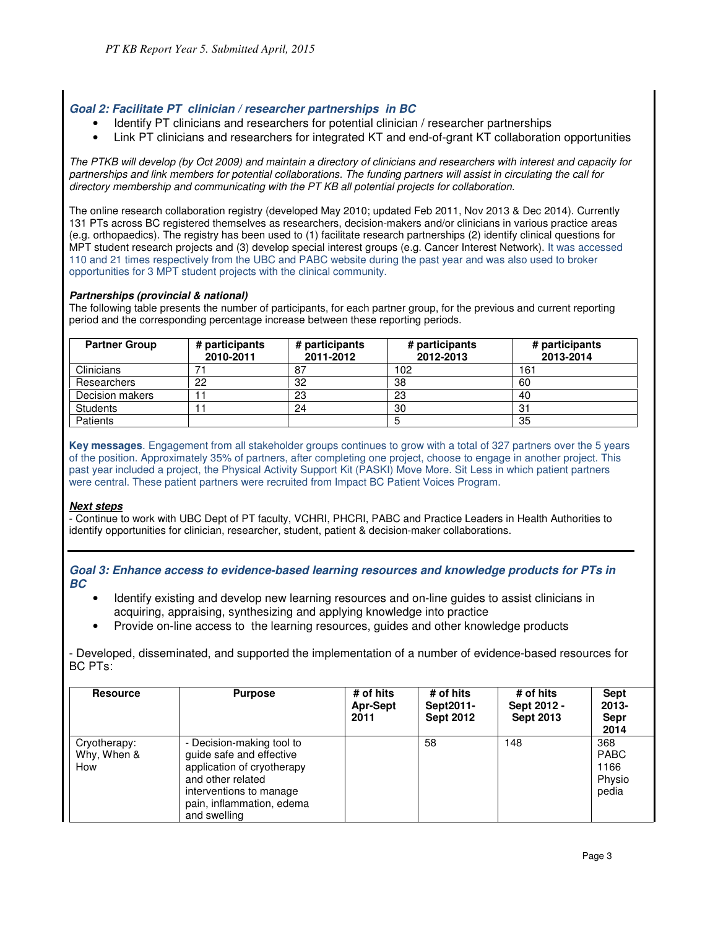## **Goal 2: Facilitate PT clinician / researcher partnerships in BC**

- Identify PT clinicians and researchers for potential clinician / researcher partnerships
- Link PT clinicians and researchers for integrated KT and end-of-grant KT collaboration opportunities

The PTKB will develop (by Oct 2009) and maintain a directory of clinicians and researchers with interest and capacity for partnerships and link members for potential collaborations. The funding partners will assist in circulating the call for directory membership and communicating with the PT KB all potential projects for collaboration.

The online research collaboration registry (developed May 2010; updated Feb 2011, Nov 2013 & Dec 2014). Currently 131 PTs across BC registered themselves as researchers, decision-makers and/or clinicians in various practice areas (e.g. orthopaedics). The registry has been used to (1) facilitate research partnerships (2) identify clinical questions for MPT student research projects and (3) develop special interest groups (e.g. Cancer Interest Network). It was accessed 110 and 21 times respectively from the UBC and PABC website during the past year and was also used to broker opportunities for 3 MPT student projects with the clinical community.

#### **Partnerships (provincial & national)**

The following table presents the number of participants, for each partner group, for the previous and current reporting period and the corresponding percentage increase between these reporting periods.

| <b>Partner Group</b> | # participants<br>2010-2011 | # participants<br>2011-2012 | # participants<br>2012-2013 | # participants<br>2013-2014 |
|----------------------|-----------------------------|-----------------------------|-----------------------------|-----------------------------|
| Clinicians           |                             | -87                         | 102                         | 161                         |
| Researchers          | 22                          | 32                          | 38                          | 60                          |
| Decision makers      |                             | 23                          | 23                          | 40                          |
| <b>Students</b>      |                             | 24                          | 30                          | 31                          |
| Patients             |                             |                             |                             | 35                          |

**Key messages**. Engagement from all stakeholder groups continues to grow with a total of 327 partners over the 5 years of the position. Approximately 35% of partners, after completing one project, choose to engage in another project. This past year included a project, the Physical Activity Support Kit (PASKI) Move More. Sit Less in which patient partners were central. These patient partners were recruited from Impact BC Patient Voices Program.

#### **Next steps**

- Continue to work with UBC Dept of PT faculty, VCHRI, PHCRI, PABC and Practice Leaders in Health Authorities to identify opportunities for clinician, researcher, student, patient & decision-maker collaborations.

**Goal 3: Enhance access to evidence-based learning resources and knowledge products for PTs in BC** 

- Identify existing and develop new learning resources and on-line guides to assist clinicians in acquiring, appraising, synthesizing and applying knowledge into practice
- Provide on-line access to the learning resources, guides and other knowledge products

- Developed, disseminated, and supported the implementation of a number of evidence-based resources for BC PTs:

| <b>Resource</b>                    | <b>Purpose</b>                                                                                                                                                                   | # of hits<br><b>Apr-Sept</b><br>2011 | # of hits<br>Sept2011-<br><b>Sept 2012</b> | # of hits<br>Sept 2012 -<br><b>Sept 2013</b> | <b>Sept</b><br>$2013 -$<br>Sepr<br>2014       |
|------------------------------------|----------------------------------------------------------------------------------------------------------------------------------------------------------------------------------|--------------------------------------|--------------------------------------------|----------------------------------------------|-----------------------------------------------|
| Cryotherapy:<br>Why, When &<br>How | - Decision-making tool to<br>guide safe and effective<br>application of cryotherapy<br>and other related<br>interventions to manage<br>pain, inflammation, edema<br>and swelling |                                      | 58                                         | 148                                          | 368<br><b>PABC</b><br>1166<br>Physio<br>pedia |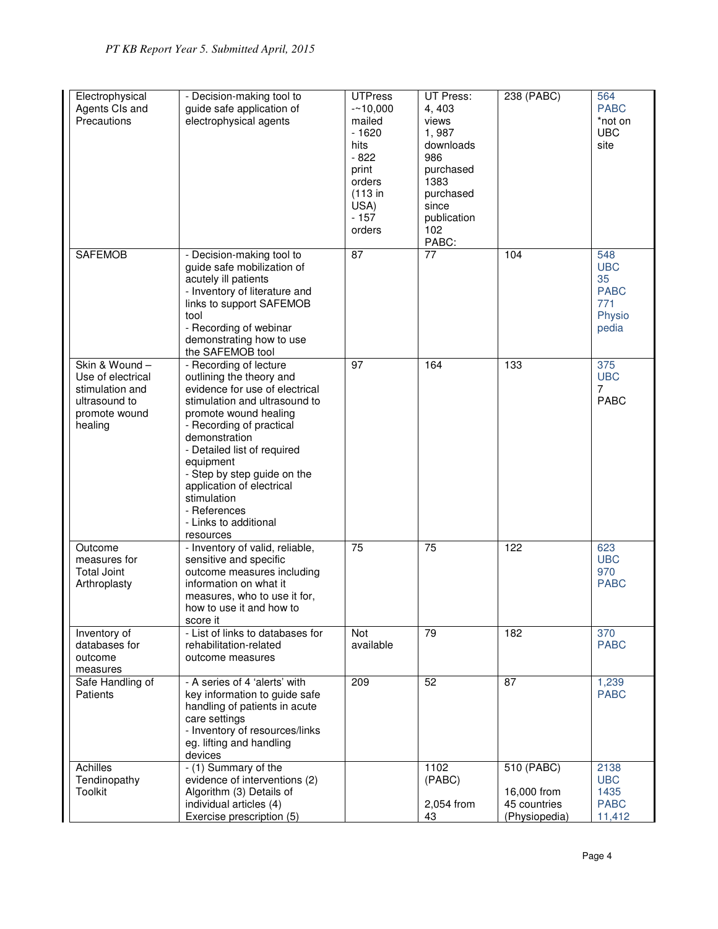| Electrophysical<br>Agents CIs and<br>Precautions                                                   | - Decision-making tool to<br>guide safe application of<br>electrophysical agents                                                                                                                                                                                                                                                                                         | <b>UTPress</b><br>$-10,000$<br>mailed<br>$-1620$<br>hits<br>$-822$<br>print<br>orders<br>$(113$ in<br>USA)<br>$-157$<br>orders | UT Press:<br>4,403<br>views<br>1,987<br>downloads<br>986<br>purchased<br>1383<br>purchased<br>since<br>publication<br>102<br>PABC: | 238 (PABC)                                                 | 564<br><b>PABC</b><br>*not on<br><b>UBC</b><br>site              |
|----------------------------------------------------------------------------------------------------|--------------------------------------------------------------------------------------------------------------------------------------------------------------------------------------------------------------------------------------------------------------------------------------------------------------------------------------------------------------------------|--------------------------------------------------------------------------------------------------------------------------------|------------------------------------------------------------------------------------------------------------------------------------|------------------------------------------------------------|------------------------------------------------------------------|
| <b>SAFEMOB</b>                                                                                     | - Decision-making tool to<br>guide safe mobilization of<br>acutely ill patients<br>- Inventory of literature and<br>links to support SAFEMOB<br>tool<br>- Recording of webinar<br>demonstrating how to use<br>the SAFEMOB tool                                                                                                                                           | $\overline{87}$                                                                                                                | $\overline{77}$                                                                                                                    | 104                                                        | 548<br><b>UBC</b><br>35<br><b>PABC</b><br>771<br>Physio<br>pedia |
| Skin & Wound-<br>Use of electrical<br>stimulation and<br>ultrasound to<br>promote wound<br>healing | - Recording of lecture<br>outlining the theory and<br>evidence for use of electrical<br>stimulation and ultrasound to<br>promote wound healing<br>- Recording of practical<br>demonstration<br>- Detailed list of required<br>equipment<br>- Step by step guide on the<br>application of electrical<br>stimulation<br>- References<br>- Links to additional<br>resources | 97                                                                                                                             | 164                                                                                                                                | 133                                                        | 375<br><b>UBC</b><br>7<br><b>PABC</b>                            |
| Outcome<br>measures for<br><b>Total Joint</b><br>Arthroplasty                                      | - Inventory of valid, reliable,<br>sensitive and specific<br>outcome measures including<br>information on what it<br>measures, who to use it for,<br>how to use it and how to<br>score it                                                                                                                                                                                | 75                                                                                                                             | 75                                                                                                                                 | 122                                                        | 623<br><b>UBC</b><br>970<br><b>PABC</b>                          |
| Inventory of<br>databases for<br>outcome<br>measures                                               | - List of links to databases for<br>rehabilitation-related<br>outcome measures                                                                                                                                                                                                                                                                                           | Not<br>available                                                                                                               | 79                                                                                                                                 | 182                                                        | 370<br><b>PABC</b>                                               |
| Safe Handling of<br>Patients                                                                       | - A series of 4 'alerts' with<br>key information to guide safe<br>handling of patients in acute<br>care settings<br>- Inventory of resources/links<br>eg. lifting and handling<br>devices                                                                                                                                                                                | 209                                                                                                                            | 52                                                                                                                                 | 87                                                         | 1,239<br><b>PABC</b>                                             |
| Achilles<br>Tendinopathy<br><b>Toolkit</b>                                                         | - (1) Summary of the<br>evidence of interventions (2)<br>Algorithm (3) Details of<br>individual articles (4)<br>Exercise prescription (5)                                                                                                                                                                                                                                |                                                                                                                                | 1102<br>(PABC)<br>2,054 from<br>43                                                                                                 | 510 (PABC)<br>16,000 from<br>45 countries<br>(Physiopedia) | 2138<br><b>UBC</b><br>1435<br><b>PABC</b><br>11,412              |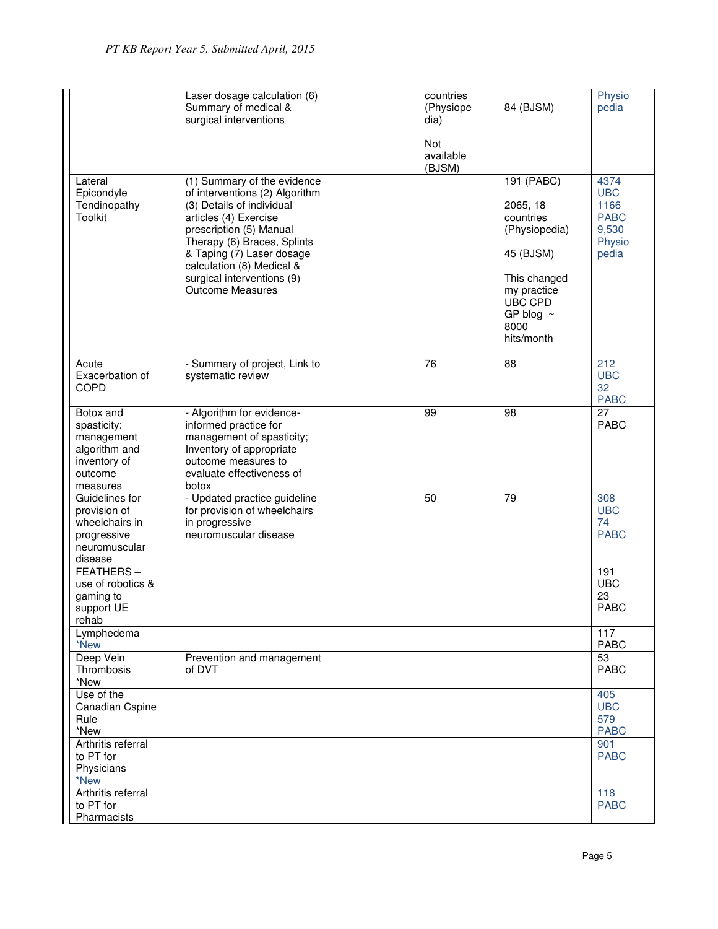|                                                                                                | Laser dosage calculation (6)<br>Summary of medical &<br>surgical interventions                                                                                                                                                                                                                   | countries<br>(Physiope<br>dia)<br>Not<br>available | 84 (BJSM)                                                                                                                                           | Physio<br>pedia                                                       |
|------------------------------------------------------------------------------------------------|--------------------------------------------------------------------------------------------------------------------------------------------------------------------------------------------------------------------------------------------------------------------------------------------------|----------------------------------------------------|-----------------------------------------------------------------------------------------------------------------------------------------------------|-----------------------------------------------------------------------|
| Lateral<br>Epicondyle<br>Tendinopathy<br><b>Toolkit</b>                                        | (1) Summary of the evidence<br>of interventions (2) Algorithm<br>(3) Details of individual<br>articles (4) Exercise<br>prescription (5) Manual<br>Therapy (6) Braces, Splints<br>& Taping (7) Laser dosage<br>calculation (8) Medical &<br>surgical interventions (9)<br><b>Outcome Measures</b> | (BJSM)                                             | 191 (PABC)<br>2065, 18<br>countries<br>(Physiopedia)<br>45 (BJSM)<br>This changed<br>my practice<br>UBC CPD<br>GP blog $\sim$<br>8000<br>hits/month | 4374<br><b>UBC</b><br>1166<br><b>PABC</b><br>9,530<br>Physio<br>pedia |
| Acute<br>Exacerbation of<br><b>COPD</b>                                                        | - Summary of project, Link to<br>systematic review                                                                                                                                                                                                                                               | 76                                                 | 88                                                                                                                                                  | 212<br><b>UBC</b><br>32<br><b>PABC</b>                                |
| Botox and<br>spasticity:<br>management<br>algorithm and<br>inventory of<br>outcome<br>measures | - Algorithm for evidence-<br>informed practice for<br>management of spasticity;<br>Inventory of appropriate<br>outcome measures to<br>evaluate effectiveness of<br>botox                                                                                                                         | 99                                                 | 98                                                                                                                                                  | 27<br>PABC                                                            |
| Guidelines for<br>provision of<br>wheelchairs in<br>progressive<br>neuromuscular<br>disease    | - Updated practice guideline<br>for provision of wheelchairs<br>in progressive<br>neuromuscular disease                                                                                                                                                                                          | 50                                                 | 79                                                                                                                                                  | 308<br><b>UBC</b><br>74<br><b>PABC</b>                                |
| FEATHERS-<br>use of robotics &<br>gaming to<br>support UE<br>rehab                             |                                                                                                                                                                                                                                                                                                  |                                                    |                                                                                                                                                     | 191<br><b>UBC</b><br>23<br><b>PABC</b>                                |
| Lymphedema<br>*New                                                                             |                                                                                                                                                                                                                                                                                                  |                                                    |                                                                                                                                                     | 117<br>PABC                                                           |
| Deep Vein<br>Thrombosis<br>*New                                                                | Prevention and management<br>of DVT                                                                                                                                                                                                                                                              |                                                    |                                                                                                                                                     | 53<br><b>PABC</b>                                                     |
| Use of the<br>Canadian Cspine<br>Rule<br>*New                                                  |                                                                                                                                                                                                                                                                                                  |                                                    |                                                                                                                                                     | 405<br><b>UBC</b><br>579<br><b>PABC</b>                               |
| Arthritis referral<br>to PT for<br>Physicians<br>*New                                          |                                                                                                                                                                                                                                                                                                  |                                                    |                                                                                                                                                     | 901<br><b>PABC</b>                                                    |
| Arthritis referral<br>to PT for<br>Pharmacists                                                 |                                                                                                                                                                                                                                                                                                  |                                                    |                                                                                                                                                     | 118<br><b>PABC</b>                                                    |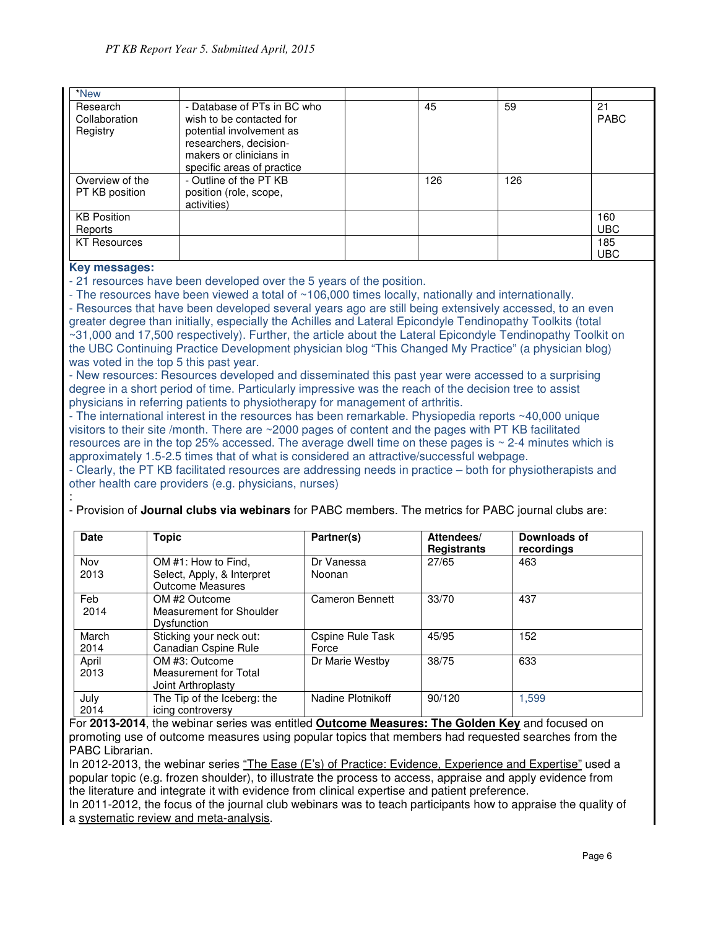| *New                                  |                                                                                     |     |     |                   |
|---------------------------------------|-------------------------------------------------------------------------------------|-----|-----|-------------------|
| Research<br>Collaboration<br>Registry | - Database of PTs in BC who<br>wish to be contacted for<br>potential involvement as | 45  | 59  | 21<br><b>PABC</b> |
|                                       | researchers, decision-<br>makers or clinicians in<br>specific areas of practice     |     |     |                   |
| Overview of the<br>PT KB position     | - Outline of the PT KB<br>position (role, scope,<br>activities)                     | 126 | 126 |                   |
| <b>KB Position</b>                    |                                                                                     |     |     | 160               |
| Reports                               |                                                                                     |     |     | <b>UBC</b>        |
| <b>KT Resources</b>                   |                                                                                     |     |     | 185<br><b>UBC</b> |

### **Key messages:**

- 21 resources have been developed over the 5 years of the position.

- The resources have been viewed a total of ~106,000 times locally, nationally and internationally.

- Resources that have been developed several years ago are still being extensively accessed, to an even greater degree than initially, especially the Achilles and Lateral Epicondyle Tendinopathy Toolkits (total ~31,000 and 17,500 respectively). Further, the article about the Lateral Epicondyle Tendinopathy Toolkit on the UBC Continuing Practice Development physician blog "This Changed My Practice" (a physician blog) was voted in the top 5 this past year.

- New resources: Resources developed and disseminated this past year were accessed to a surprising degree in a short period of time. Particularly impressive was the reach of the decision tree to assist physicians in referring patients to physiotherapy for management of arthritis.

- The international interest in the resources has been remarkable. Physiopedia reports ~40,000 unique visitors to their site /month. There are ~2000 pages of content and the pages with PT KB facilitated resources are in the top 25% accessed. The average dwell time on these pages is ~ 2-4 minutes which is approximately 1.5-2.5 times that of what is considered an attractive/successful webpage.

- Clearly, the PT KB facilitated resources are addressing needs in practice – both for physiotherapists and other health care providers (e.g. physicians, nurses)

| <b>Date</b>   | Topic                                                                        | Partner(s)                | Attendees/<br><b>Registrants</b> | Downloads of<br>recordings |
|---------------|------------------------------------------------------------------------------|---------------------------|----------------------------------|----------------------------|
| Nov<br>2013   | OM #1: How to Find,<br>Select, Apply, & Interpret<br><b>Outcome Measures</b> | Dr Vanessa<br>Noonan      | 27/65                            | 463                        |
| Feb<br>2014   | OM #2 Outcome<br>Measurement for Shoulder<br>Dysfunction                     | Cameron Bennett           | 33/70                            | 437                        |
| March<br>2014 | Sticking your neck out:<br>Canadian Cspine Rule                              | Cspine Rule Task<br>Force | 45/95                            | 152                        |
| April<br>2013 | OM #3: Outcome<br>Measurement for Total<br>Joint Arthroplasty                | Dr Marie Westby           | 38/75                            | 633                        |
| July<br>2014  | The Tip of the Iceberg: the<br>icing controversy                             | Nadine Plotnikoff         | 90/120                           | 1,599                      |

: - Provision of **Journal clubs via webinars** for PABC members. The metrics for PABC journal clubs are:

For **2013-2014**, the webinar series was entitled **Outcome Measures: The Golden Key** and focused on promoting use of outcome measures using popular topics that members had requested searches from the PABC Librarian.

In 2012-2013, the webinar series "The Ease (E's) of Practice: Evidence, Experience and Expertise" used a popular topic (e.g. frozen shoulder), to illustrate the process to access, appraise and apply evidence from the literature and integrate it with evidence from clinical expertise and patient preference.

In 2011-2012, the focus of the journal club webinars was to teach participants how to appraise the quality of a systematic review and meta-analysis.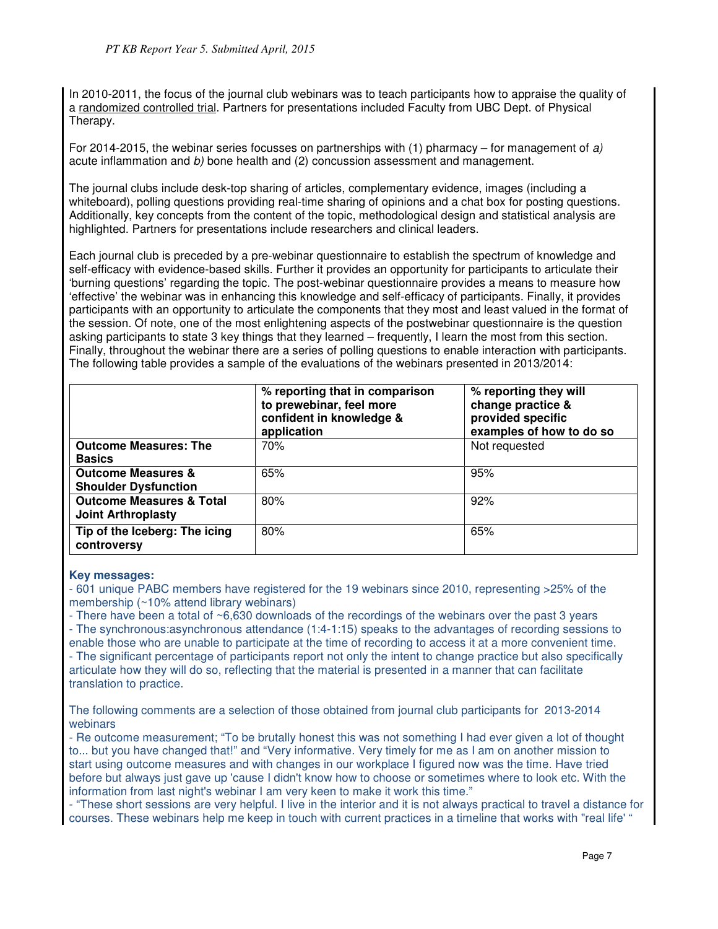In 2010-2011, the focus of the journal club webinars was to teach participants how to appraise the quality of a randomized controlled trial. Partners for presentations included Faculty from UBC Dept. of Physical Therapy.

For 2014-2015, the webinar series focusses on partnerships with (1) pharmacy – for management of a) acute inflammation and b) bone health and (2) concussion assessment and management.

The journal clubs include desk-top sharing of articles, complementary evidence, images (including a whiteboard), polling questions providing real-time sharing of opinions and a chat box for posting questions. Additionally, key concepts from the content of the topic, methodological design and statistical analysis are highlighted. Partners for presentations include researchers and clinical leaders.

Each journal club is preceded by a pre-webinar questionnaire to establish the spectrum of knowledge and self-efficacy with evidence-based skills. Further it provides an opportunity for participants to articulate their 'burning questions' regarding the topic. The post-webinar questionnaire provides a means to measure how 'effective' the webinar was in enhancing this knowledge and self-efficacy of participants. Finally, it provides participants with an opportunity to articulate the components that they most and least valued in the format of the session. Of note, one of the most enlightening aspects of the postwebinar questionnaire is the question asking participants to state 3 key things that they learned – frequently, I learn the most from this section. Finally, throughout the webinar there are a series of polling questions to enable interaction with participants. The following table provides a sample of the evaluations of the webinars presented in 2013/2014:

|                                                                  | % reporting that in comparison<br>to prewebinar, feel more<br>confident in knowledge &<br>application | % reporting they will<br>change practice &<br>provided specific<br>examples of how to do so |
|------------------------------------------------------------------|-------------------------------------------------------------------------------------------------------|---------------------------------------------------------------------------------------------|
| <b>Outcome Measures: The</b><br><b>Basics</b>                    | 70%                                                                                                   | Not requested                                                                               |
| <b>Outcome Measures &amp;</b><br><b>Shoulder Dysfunction</b>     | 65%                                                                                                   | 95%                                                                                         |
| <b>Outcome Measures &amp; Total</b><br><b>Joint Arthroplasty</b> | 80%                                                                                                   | 92%                                                                                         |
| Tip of the Iceberg: The icing<br>controversy                     | 80%                                                                                                   | 65%                                                                                         |

## **Key messages:**

- 601 unique PABC members have registered for the 19 webinars since 2010, representing >25% of the membership (~10% attend library webinars)

- There have been a total of ~6,630 downloads of the recordings of the webinars over the past 3 years

- The synchronous:asynchronous attendance (1:4-1:15) speaks to the advantages of recording sessions to enable those who are unable to participate at the time of recording to access it at a more convenient time. - The significant percentage of participants report not only the intent to change practice but also specifically articulate how they will do so, reflecting that the material is presented in a manner that can facilitate translation to practice.

The following comments are a selection of those obtained from journal club participants for 2013-2014 webinars

- Re outcome measurement; "To be brutally honest this was not something I had ever given a lot of thought to... but you have changed that!" and "Very informative. Very timely for me as I am on another mission to start using outcome measures and with changes in our workplace I figured now was the time. Have tried before but always just gave up 'cause I didn't know how to choose or sometimes where to look etc. With the information from last night's webinar I am very keen to make it work this time."

- "These short sessions are very helpful. I live in the interior and it is not always practical to travel a distance for courses. These webinars help me keep in touch with current practices in a timeline that works with "real life' "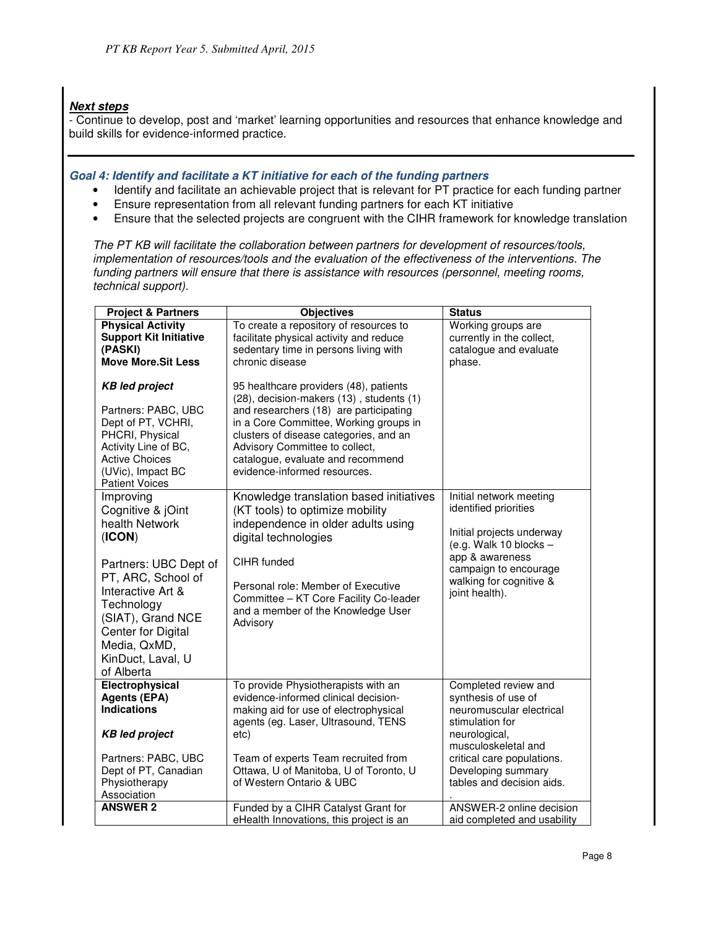## **Next steps**

- Continue to develop, post and 'market' learning opportunities and resources that enhance knowledge and build skills for evidence-informed practice.

## **Goal 4: Identify and facilitate a KT initiative for each of the funding partners**

- Identify and facilitate an achievable project that is relevant for PT practice for each funding partner
- Ensure representation from all relevant funding partners for each KT initiative
- Ensure that the selected projects are congruent with the CIHR framework for knowledge translation

The PT KB will facilitate the collaboration between partners for development of resources/tools, implementation of resources/tools and the evaluation of the effectiveness of the interventions. The funding partners will ensure that there is assistance with resources (personnel, meeting rooms, technical support).

| <b>Project &amp; Partners</b>                                                                                                                                                                                                                     | <b>Objectives</b>                                                                                                                                                                                                                                                                                                       | <b>Status</b>                                                                                                                                                                                                       |
|---------------------------------------------------------------------------------------------------------------------------------------------------------------------------------------------------------------------------------------------------|-------------------------------------------------------------------------------------------------------------------------------------------------------------------------------------------------------------------------------------------------------------------------------------------------------------------------|---------------------------------------------------------------------------------------------------------------------------------------------------------------------------------------------------------------------|
| <b>Physical Activity</b><br><b>Support Kit Initiative</b><br>(PASKI)<br><b>Move More.Sit Less</b>                                                                                                                                                 | To create a repository of resources to<br>facilitate physical activity and reduce<br>sedentary time in persons living with<br>chronic disease                                                                                                                                                                           | Working groups are<br>currently in the collect,<br>catalogue and evaluate<br>phase.                                                                                                                                 |
| <b>KB</b> led project<br>Partners: PABC, UBC<br>Dept of PT, VCHRI,<br>PHCRI, Physical<br>Activity Line of BC,<br><b>Active Choices</b><br>(UVic), Impact BC<br><b>Patient Voices</b>                                                              | 95 healthcare providers (48), patients<br>(28), decision-makers (13), students (1)<br>and researchers (18) are participating<br>in a Core Committee, Working groups in<br>clusters of disease categories, and an<br>Advisory Committee to collect,<br>catalogue, evaluate and recommend<br>evidence-informed resources. |                                                                                                                                                                                                                     |
| Improving<br>Cognitive & jOint<br>health Network<br>(ICON)<br>Partners: UBC Dept of<br>PT, ARC, School of<br>Interactive Art &<br>Technology<br>(SIAT), Grand NCE<br><b>Center for Digital</b><br>Media, QxMD,<br>KinDuct, Laval, U<br>of Alberta | Knowledge translation based initiatives<br>(KT tools) to optimize mobility<br>independence in older adults using<br>digital technologies<br>CIHR funded<br>Personal role: Member of Executive<br>Committee - KT Core Facility Co-leader<br>and a member of the Knowledge User<br>Advisory                               | Initial network meeting<br>identified priorities<br>Initial projects underway<br>(e.g. Walk 10 blocks $-$<br>app & awareness<br>campaign to encourage<br>walking for cognitive &<br>joint health).                  |
| Electrophysical<br><b>Agents (EPA)</b><br><b>Indications</b><br><b>KB led project</b><br>Partners: PABC, UBC<br>Dept of PT, Canadian<br>Physiotherapy<br>Association                                                                              | To provide Physiotherapists with an<br>evidence-informed clinical decision-<br>making aid for use of electrophysical<br>agents (eg. Laser, Ultrasound, TENS<br>etc)<br>Team of experts Team recruited from<br>Ottawa, U of Manitoba, U of Toronto, U<br>of Western Ontario & UBC                                        | Completed review and<br>synthesis of use of<br>neuromuscular electrical<br>stimulation for<br>neurological,<br>musculoskeletal and<br>critical care populations.<br>Developing summary<br>tables and decision aids. |
| <b>ANSWER 2</b>                                                                                                                                                                                                                                   | Funded by a CIHR Catalyst Grant for<br>eHealth Innovations, this project is an                                                                                                                                                                                                                                          | ANSWER-2 online decision<br>aid completed and usability                                                                                                                                                             |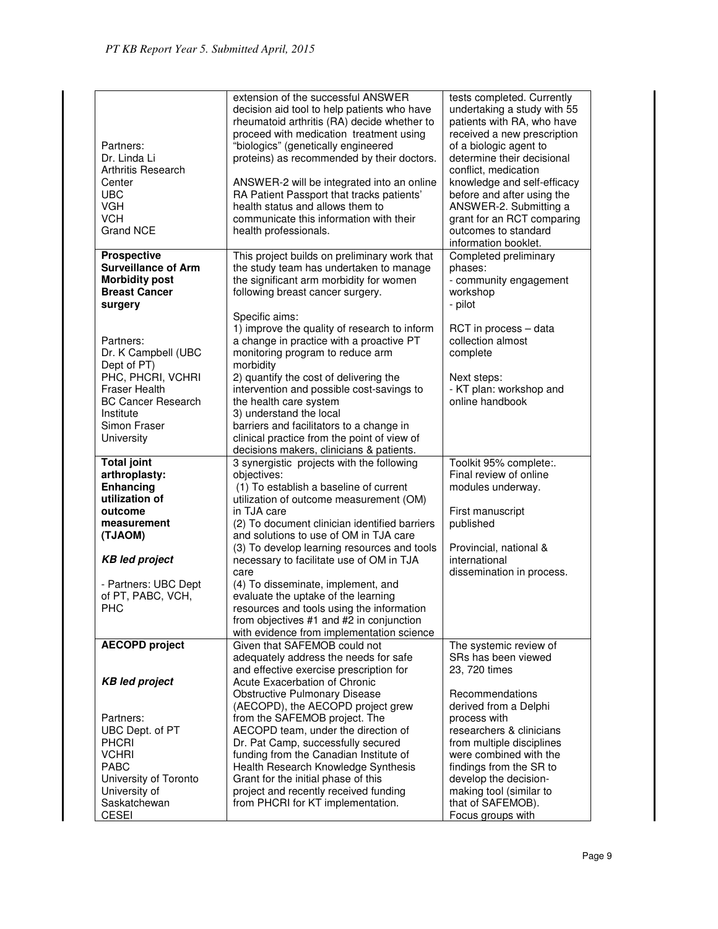| Partners:<br>Dr. Linda Li<br>Arthritis Research<br>Center<br><b>UBC</b><br><b>VGH</b><br><b>VCH</b><br><b>Grand NCE</b> | extension of the successful ANSWER<br>decision aid tool to help patients who have<br>rheumatoid arthritis (RA) decide whether to<br>proceed with medication treatment using<br>"biologics" (genetically engineered<br>proteins) as recommended by their doctors.<br>ANSWER-2 will be integrated into an online<br>RA Patient Passport that tracks patients'<br>health status and allows them to<br>communicate this information with their | tests completed. Currently<br>undertaking a study with 55<br>patients with RA, who have<br>received a new prescription<br>of a biologic agent to<br>determine their decisional<br>conflict, medication<br>knowledge and self-efficacy<br>before and after using the<br>ANSWER-2. Submitting a<br>grant for an RCT comparing<br>outcomes to standard |
|-------------------------------------------------------------------------------------------------------------------------|--------------------------------------------------------------------------------------------------------------------------------------------------------------------------------------------------------------------------------------------------------------------------------------------------------------------------------------------------------------------------------------------------------------------------------------------|-----------------------------------------------------------------------------------------------------------------------------------------------------------------------------------------------------------------------------------------------------------------------------------------------------------------------------------------------------|
|                                                                                                                         | health professionals.                                                                                                                                                                                                                                                                                                                                                                                                                      | information booklet.                                                                                                                                                                                                                                                                                                                                |
| <b>Prospective</b><br><b>Surveillance of Arm</b><br><b>Morbidity post</b><br><b>Breast Cancer</b><br>surgery            | This project builds on preliminary work that<br>the study team has undertaken to manage<br>the significant arm morbidity for women<br>following breast cancer surgery.                                                                                                                                                                                                                                                                     | Completed preliminary<br>phases:<br>- community engagement<br>workshop<br>- pilot                                                                                                                                                                                                                                                                   |
| Partners:<br>Dr. K Campbell (UBC<br>Dept of PT)                                                                         | Specific aims:<br>1) improve the quality of research to inform<br>a change in practice with a proactive PT<br>monitoring program to reduce arm<br>morbidity                                                                                                                                                                                                                                                                                | RCT in process - data<br>collection almost<br>complete                                                                                                                                                                                                                                                                                              |
| PHC, PHCRI, VCHRI<br><b>Fraser Health</b><br><b>BC Cancer Research</b><br>Institute<br>Simon Fraser<br>University       | 2) quantify the cost of delivering the<br>intervention and possible cost-savings to<br>the health care system<br>3) understand the local<br>barriers and facilitators to a change in<br>clinical practice from the point of view of                                                                                                                                                                                                        | Next steps:<br>- KT plan: workshop and<br>online handbook                                                                                                                                                                                                                                                                                           |
|                                                                                                                         | decisions makers, clinicians & patients.                                                                                                                                                                                                                                                                                                                                                                                                   |                                                                                                                                                                                                                                                                                                                                                     |
| <b>Total joint</b><br>arthroplasty:<br>Enhancing<br>utilization of                                                      | 3 synergistic projects with the following<br>objectives:<br>(1) To establish a baseline of current<br>utilization of outcome measurement (OM)                                                                                                                                                                                                                                                                                              | Toolkit 95% complete:.<br>Final review of online<br>modules underway.                                                                                                                                                                                                                                                                               |
| outcome<br>measurement<br>(TJAOM)                                                                                       | in TJA care<br>(2) To document clinician identified barriers<br>and solutions to use of OM in TJA care<br>(3) To develop learning resources and tools                                                                                                                                                                                                                                                                                      | First manuscript<br>published<br>Provincial, national &                                                                                                                                                                                                                                                                                             |
| <b>KB led project</b>                                                                                                   | necessary to facilitate use of OM in TJA<br>care                                                                                                                                                                                                                                                                                                                                                                                           | international<br>dissemination in process.                                                                                                                                                                                                                                                                                                          |
| - Partners: UBC Dept<br>of PT, PABC, VCH,<br>PHC                                                                        | (4) To disseminate, implement, and<br>evaluate the uptake of the learning<br>resources and tools using the information<br>from objectives #1 and #2 in conjunction<br>with evidence from implementation science                                                                                                                                                                                                                            |                                                                                                                                                                                                                                                                                                                                                     |
| <b>AECOPD</b> project                                                                                                   | Given that SAFEMOB could not                                                                                                                                                                                                                                                                                                                                                                                                               | The systemic review of                                                                                                                                                                                                                                                                                                                              |
| <b>KB led project</b>                                                                                                   | adequately address the needs for safe<br>and effective exercise prescription for<br>Acute Exacerbation of Chronic<br><b>Obstructive Pulmonary Disease</b><br>(AECOPD), the AECOPD project grew                                                                                                                                                                                                                                             | SRs has been viewed<br>23, 720 times<br>Recommendations<br>derived from a Delphi                                                                                                                                                                                                                                                                    |
| Partners:<br>UBC Dept. of PT                                                                                            | from the SAFEMOB project. The<br>AECOPD team, under the direction of                                                                                                                                                                                                                                                                                                                                                                       | process with<br>researchers & clinicians                                                                                                                                                                                                                                                                                                            |
| <b>PHCRI</b>                                                                                                            | Dr. Pat Camp, successfully secured                                                                                                                                                                                                                                                                                                                                                                                                         | from multiple disciplines                                                                                                                                                                                                                                                                                                                           |
| <b>VCHRI</b>                                                                                                            | funding from the Canadian Institute of                                                                                                                                                                                                                                                                                                                                                                                                     | were combined with the                                                                                                                                                                                                                                                                                                                              |
| <b>PABC</b><br>University of Toronto                                                                                    | Health Research Knowledge Synthesis<br>Grant for the initial phase of this                                                                                                                                                                                                                                                                                                                                                                 | findings from the SR to<br>develop the decision-                                                                                                                                                                                                                                                                                                    |
| University of                                                                                                           | project and recently received funding                                                                                                                                                                                                                                                                                                                                                                                                      | making tool (similar to                                                                                                                                                                                                                                                                                                                             |
| Saskatchewan<br><b>CESEI</b>                                                                                            | from PHCRI for KT implementation.                                                                                                                                                                                                                                                                                                                                                                                                          | that of SAFEMOB).<br>Focus groups with                                                                                                                                                                                                                                                                                                              |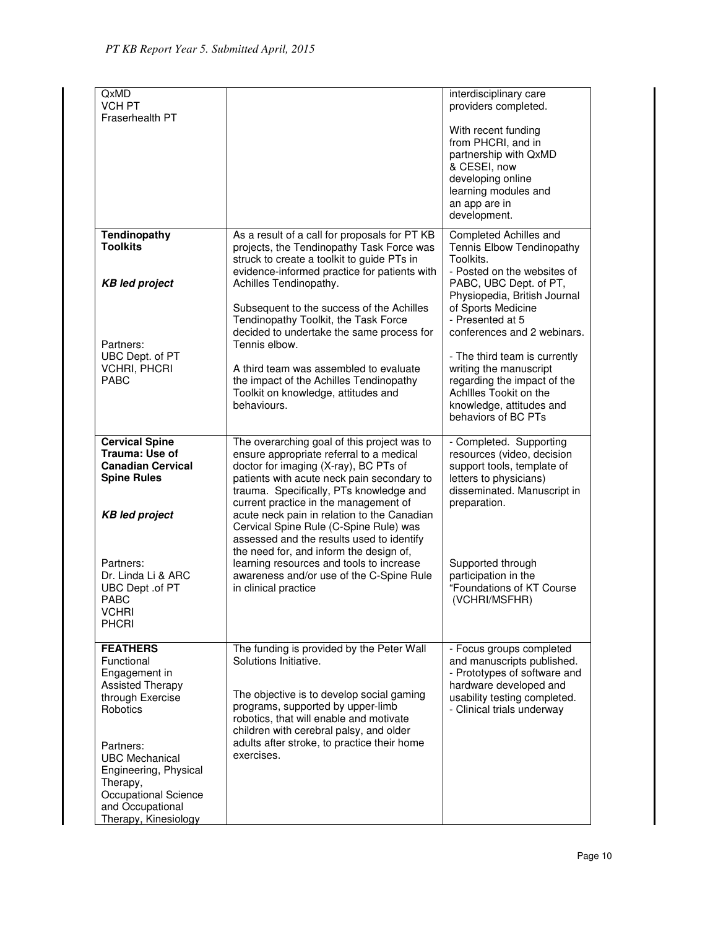| QxMD<br><b>VCH PT</b><br>Fraserhealth PT                                                                                       |                                                                                                                                                                                                                                                                                                                   | interdisciplinary care<br>providers completed.                                                                                                                                 |  |
|--------------------------------------------------------------------------------------------------------------------------------|-------------------------------------------------------------------------------------------------------------------------------------------------------------------------------------------------------------------------------------------------------------------------------------------------------------------|--------------------------------------------------------------------------------------------------------------------------------------------------------------------------------|--|
|                                                                                                                                |                                                                                                                                                                                                                                                                                                                   | With recent funding<br>from PHCRI, and in<br>partnership with QxMD<br>& CESEI, now<br>developing online<br>learning modules and<br>an app are in<br>development.               |  |
| <b>Tendinopathy</b><br><b>Toolkits</b><br><b>KB led project</b>                                                                | As a result of a call for proposals for PT KB<br>projects, the Tendinopathy Task Force was<br>struck to create a toolkit to guide PTs in<br>evidence-informed practice for patients with<br>Achilles Tendinopathy.                                                                                                | Completed Achilles and<br>Tennis Elbow Tendinopathy<br>Toolkits.<br>- Posted on the websites of<br>PABC, UBC Dept. of PT,                                                      |  |
| Partners:                                                                                                                      | Subsequent to the success of the Achilles<br>Tendinopathy Toolkit, the Task Force<br>decided to undertake the same process for<br>Tennis elbow.                                                                                                                                                                   | Physiopedia, British Journal<br>of Sports Medicine<br>- Presented at 5<br>conferences and 2 webinars.                                                                          |  |
| UBC Dept. of PT<br><b>VCHRI, PHCRI</b><br><b>PABC</b>                                                                          | A third team was assembled to evaluate<br>the impact of the Achilles Tendinopathy<br>Toolkit on knowledge, attitudes and<br>behaviours.                                                                                                                                                                           | - The third team is currently<br>writing the manuscript<br>regarding the impact of the<br>Achilles Tookit on the<br>knowledge, attitudes and<br>behaviors of BC PTs            |  |
| <b>Cervical Spine</b><br>Trauma: Use of<br><b>Canadian Cervical</b><br><b>Spine Rules</b><br><b>KB led project</b>             | The overarching goal of this project was to<br>ensure appropriate referral to a medical<br>doctor for imaging (X-ray), BC PTs of<br>patients with acute neck pain secondary to<br>trauma. Specifically, PTs knowledge and<br>current practice in the management of<br>acute neck pain in relation to the Canadian | - Completed. Supporting<br>resources (video, decision<br>support tools, template of<br>letters to physicians)<br>disseminated. Manuscript in<br>preparation.                   |  |
| Partners:<br>Dr. Linda Li & ARC<br>UBC Dept .of PT<br><b>PABC</b><br><b>VCHRI</b><br><b>PHCRI</b>                              | Cervical Spine Rule (C-Spine Rule) was<br>assessed and the results used to identify<br>the need for, and inform the design of,<br>learning resources and tools to increase<br>awareness and/or use of the C-Spine Rule<br>in clinical practice                                                                    | Supported through<br>participation in the<br>"Foundations of KT Course<br>(VCHRI/MSFHR)                                                                                        |  |
| <b>FEATHERS</b><br>Functional<br>Engagement in<br><b>Assisted Therapy</b><br>through Exercise<br>Robotics<br>Partners:         | The funding is provided by the Peter Wall<br>Solutions Initiative.<br>The objective is to develop social gaming<br>programs, supported by upper-limb<br>robotics, that will enable and motivate<br>children with cerebral palsy, and older<br>adults after stroke, to practice their home                         | - Focus groups completed<br>and manuscripts published.<br>- Prototypes of software and<br>hardware developed and<br>usability testing completed.<br>- Clinical trials underway |  |
| <b>UBC Mechanical</b><br>Engineering, Physical<br>Therapy,<br>Occupational Science<br>and Occupational<br>Therapy, Kinesiology | exercises.                                                                                                                                                                                                                                                                                                        |                                                                                                                                                                                |  |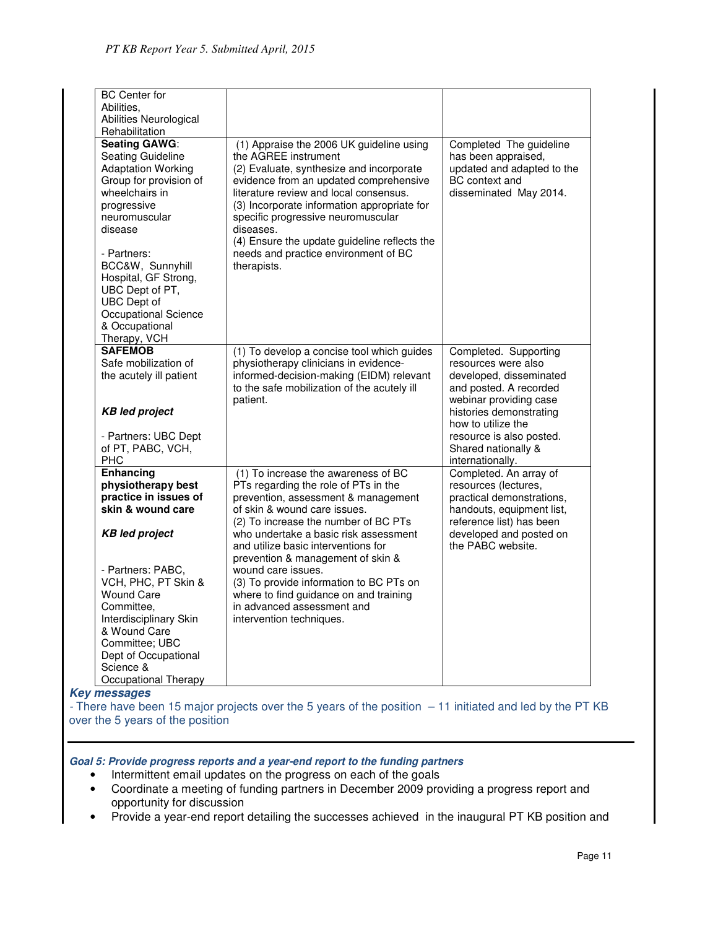| <b>BC</b> Center for<br>Abilities.                                                                                                                                                                                                                                                                                            |                                                                                                                                                                                                                                                                                                                                                                                                           |                                                                                                                          |
|-------------------------------------------------------------------------------------------------------------------------------------------------------------------------------------------------------------------------------------------------------------------------------------------------------------------------------|-----------------------------------------------------------------------------------------------------------------------------------------------------------------------------------------------------------------------------------------------------------------------------------------------------------------------------------------------------------------------------------------------------------|--------------------------------------------------------------------------------------------------------------------------|
| Abilities Neurological                                                                                                                                                                                                                                                                                                        |                                                                                                                                                                                                                                                                                                                                                                                                           |                                                                                                                          |
| Rehabilitation<br><b>Seating GAWG:</b><br>Seating Guideline<br><b>Adaptation Working</b><br>Group for provision of<br>wheelchairs in<br>progressive<br>neuromuscular<br>disease<br>- Partners:<br>BCC&W, Sunnyhill<br>Hospital, GF Strong,<br>UBC Dept of PT,<br><b>UBC</b> Dept of<br>Occupational Science<br>& Occupational | (1) Appraise the 2006 UK guideline using<br>the AGREE instrument<br>(2) Evaluate, synthesize and incorporate<br>evidence from an updated comprehensive<br>literature review and local consensus.<br>(3) Incorporate information appropriate for<br>specific progressive neuromuscular<br>diseases.<br>(4) Ensure the update guideline reflects the<br>needs and practice environment of BC<br>therapists. | Completed The guideline<br>has been appraised,<br>updated and adapted to the<br>BC context and<br>disseminated May 2014. |
| Therapy, VCH                                                                                                                                                                                                                                                                                                                  |                                                                                                                                                                                                                                                                                                                                                                                                           |                                                                                                                          |
| <b>SAFEMOB</b><br>Safe mobilization of<br>the acutely ill patient                                                                                                                                                                                                                                                             | (1) To develop a concise tool which guides<br>physiotherapy clinicians in evidence-<br>informed-decision-making (EIDM) relevant<br>to the safe mobilization of the acutely ill                                                                                                                                                                                                                            | Completed. Supporting<br>resources were also<br>developed, disseminated<br>and posted. A recorded                        |
| <b>KB led project</b>                                                                                                                                                                                                                                                                                                         | patient.                                                                                                                                                                                                                                                                                                                                                                                                  | webinar providing case<br>histories demonstrating<br>how to utilize the                                                  |
| - Partners: UBC Dept<br>of PT, PABC, VCH,<br><b>PHC</b>                                                                                                                                                                                                                                                                       |                                                                                                                                                                                                                                                                                                                                                                                                           | resource is also posted.<br>Shared nationally &<br>internationally.                                                      |
| <b>Enhancing</b><br>physiotherapy best<br>practice in issues of<br>skin & wound care                                                                                                                                                                                                                                          | (1) To increase the awareness of BC<br>PTs regarding the role of PTs in the<br>prevention, assessment & management<br>of skin & wound care issues.                                                                                                                                                                                                                                                        | Completed. An array of<br>resources (lectures,<br>practical demonstrations,<br>handouts, equipment list,                 |
| <b>KB led project</b>                                                                                                                                                                                                                                                                                                         | (2) To increase the number of BC PTs<br>who undertake a basic risk assessment<br>and utilize basic interventions for<br>prevention & management of skin &                                                                                                                                                                                                                                                 | reference list) has been<br>developed and posted on<br>the PABC website.                                                 |
| - Partners: PABC,<br>VCH, PHC, PT Skin &<br><b>Wound Care</b><br>Committee,<br>Interdisciplinary Skin<br>& Wound Care<br>Committee: UBC<br>Dept of Occupational<br>Science &<br>Occupational Therapy                                                                                                                          | wound care issues.<br>(3) To provide information to BC PTs on<br>where to find guidance on and training<br>in advanced assessment and<br>intervention techniques.                                                                                                                                                                                                                                         |                                                                                                                          |

### **Key messages**

- There have been 15 major projects over the 5 years of the position – 11 initiated and led by the PT KB over the 5 years of the position

**Goal 5: Provide progress reports and a year-end report to the funding partners** 

- Intermittent email updates on the progress on each of the goals
- Coordinate a meeting of funding partners in December 2009 providing a progress report and opportunity for discussion
- Provide a year-end report detailing the successes achieved in the inaugural PT KB position and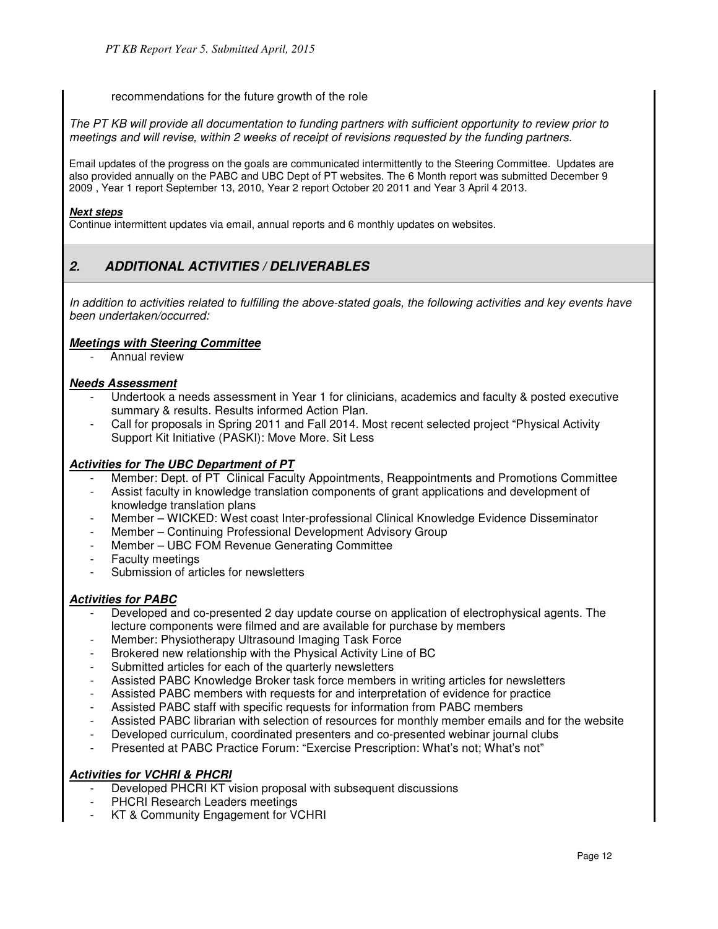recommendations for the future growth of the role

The PT KB will provide all documentation to funding partners with sufficient opportunity to review prior to meetings and will revise, within 2 weeks of receipt of revisions requested by the funding partners.

Email updates of the progress on the goals are communicated intermittently to the Steering Committee. Updates are also provided annually on the PABC and UBC Dept of PT websites. The 6 Month report was submitted December 9 2009 , Year 1 report September 13, 2010, Year 2 report October 20 2011 and Year 3 April 4 2013.

#### **Next steps**

Continue intermittent updates via email, annual reports and 6 monthly updates on websites.

# **2. ADDITIONAL ACTIVITIES / DELIVERABLES**

In addition to activities related to fulfilling the above-stated goals, the following activities and key events have been undertaken/occurred:

## **Meetings with Steering Committee**

Annual review

#### **Needs Assessment**

- Undertook a needs assessment in Year 1 for clinicians, academics and faculty & posted executive summary & results. Results informed Action Plan.
- Call for proposals in Spring 2011 and Fall 2014. Most recent selected project "Physical Activity Support Kit Initiative (PASKI): Move More. Sit Less

## **Activities for The UBC Department of PT**

- Member: Dept. of PT Clinical Faculty Appointments, Reappointments and Promotions Committee
- Assist faculty in knowledge translation components of grant applications and development of knowledge translation plans
- Member WICKED: West coast Inter-professional Clinical Knowledge Evidence Disseminator
- Member Continuing Professional Development Advisory Group
- Member UBC FOM Revenue Generating Committee
- Faculty meetings
- Submission of articles for newsletters

#### **Activities for PABC**

- Developed and co-presented 2 day update course on application of electrophysical agents. The lecture components were filmed and are available for purchase by members
- Member: Physiotherapy Ultrasound Imaging Task Force
- Brokered new relationship with the Physical Activity Line of BC
- Submitted articles for each of the quarterly newsletters
- Assisted PABC Knowledge Broker task force members in writing articles for newsletters
- Assisted PABC members with requests for and interpretation of evidence for practice
- Assisted PABC staff with specific requests for information from PABC members
- Assisted PABC librarian with selection of resources for monthly member emails and for the website
- Developed curriculum, coordinated presenters and co-presented webinar journal clubs
- Presented at PABC Practice Forum: "Exercise Prescription: What's not; What's not"

## **Activities for VCHRI & PHCRI**

- Developed PHCRI KT vision proposal with subsequent discussions
- PHCRI Research Leaders meetings
- KT & Community Engagement for VCHRI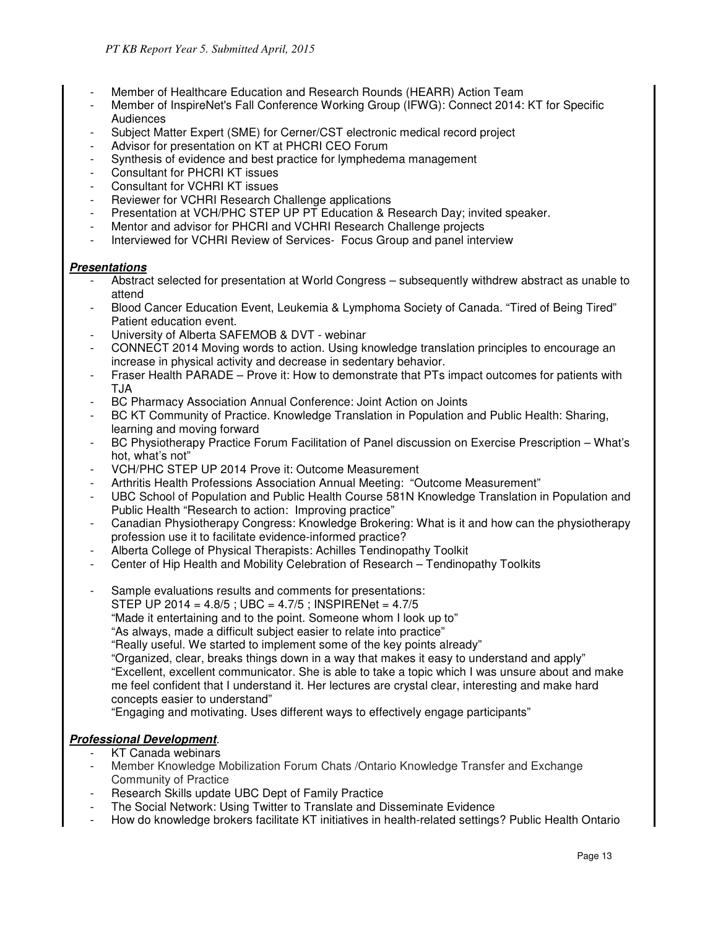- Member of Healthcare Education and Research Rounds (HEARR) Action Team
- Member of InspireNet's Fall Conference Working Group (IFWG): Connect 2014: KT for Specific Audiences
- Subject Matter Expert (SME) for Cerner/CST electronic medical record project
- Advisor for presentation on KT at PHCRI CEO Forum
- Synthesis of evidence and best practice for lymphedema management
- Consultant for PHCRI KT issues
- Consultant for VCHRI KT issues
- Reviewer for VCHRI Research Challenge applications
- Presentation at VCH/PHC STEP UP PT Education & Research Day; invited speaker.
- Mentor and advisor for PHCRI and VCHRI Research Challenge projects
- Interviewed for VCHRI Review of Services- Focus Group and panel interview

## **Presentations**

- Abstract selected for presentation at World Congress subsequently withdrew abstract as unable to attend
- Blood Cancer Education Event, Leukemia & Lymphoma Society of Canada. "Tired of Being Tired" Patient education event.
- University of Alberta SAFEMOB & DVT webinar
- CONNECT 2014 Moving words to action. Using knowledge translation principles to encourage an increase in physical activity and decrease in sedentary behavior.
- Fraser Health PARADE Prove it: How to demonstrate that PTs impact outcomes for patients with TJA
- BC Pharmacy Association Annual Conference: Joint Action on Joints
- BC KT Community of Practice. Knowledge Translation in Population and Public Health: Sharing, learning and moving forward
- BC Physiotherapy Practice Forum Facilitation of Panel discussion on Exercise Prescription What's hot, what's not"
- VCH/PHC STEP UP 2014 Prove it: Outcome Measurement
- Arthritis Health Professions Association Annual Meeting: "Outcome Measurement"
- UBC School of Population and Public Health Course 581N Knowledge Translation in Population and Public Health "Research to action: Improving practice"
- Canadian Physiotherapy Congress: Knowledge Brokering: What is it and how can the physiotherapy profession use it to facilitate evidence-informed practice?
- Alberta College of Physical Therapists: Achilles Tendinopathy Toolkit
- Center of Hip Health and Mobility Celebration of Research Tendinopathy Toolkits
- Sample evaluations results and comments for presentations:
	- STEP UP 2014 =  $4.8/5$ ; UBC =  $4.7/5$ ; INSPIRENet =  $4.7/5$
	- "Made it entertaining and to the point. Someone whom I look up to"
	- "As always, made a difficult subject easier to relate into practice"

"Really useful. We started to implement some of the key points already"

"Organized, clear, breaks things down in a way that makes it easy to understand and apply" "Excellent, excellent communicator. She is able to take a topic which I was unsure about and make me feel confident that I understand it. Her lectures are crystal clear, interesting and make hard concepts easier to understand"

"Engaging and motivating. Uses different ways to effectively engage participants"

## **Professional Development**.

- KT Canada webinars
- Member Knowledge Mobilization Forum Chats / Ontario Knowledge Transfer and Exchange Community of Practice
- Research Skills update UBC Dept of Family Practice
- The Social Network: Using Twitter to Translate and Disseminate Evidence
- How do knowledge brokers facilitate KT initiatives in health-related settings? Public Health Ontario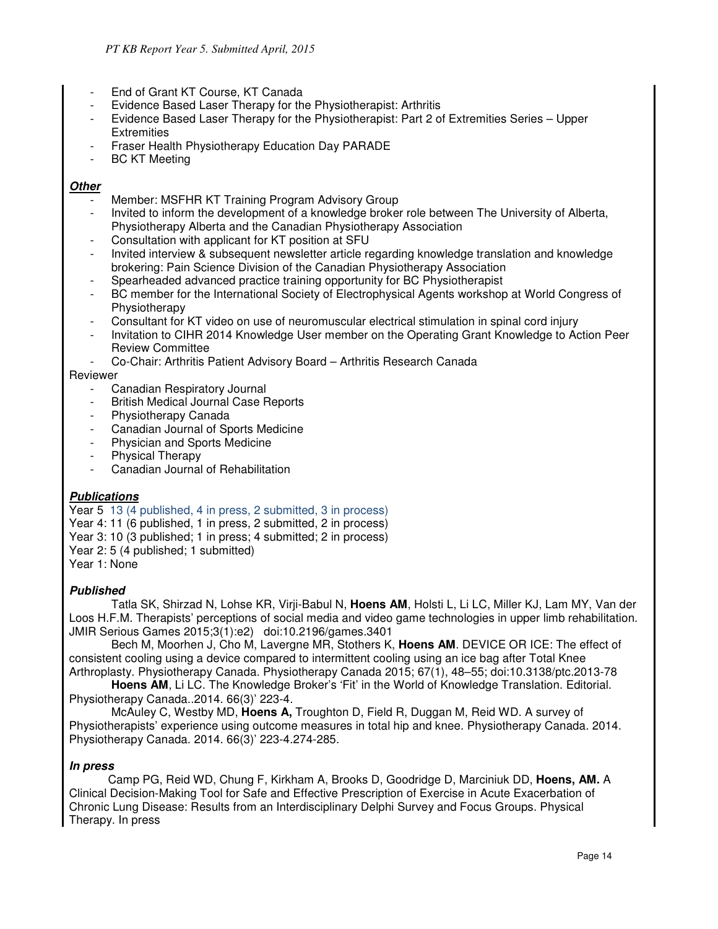- End of Grant KT Course, KT Canada
- Evidence Based Laser Therapy for the Physiotherapist: Arthritis
- Evidence Based Laser Therapy for the Physiotherapist: Part 2 of Extremities Series Upper **Extremities**
- Fraser Health Physiotherapy Education Day PARADE
- BC KT Meeting

#### **Other**

- Member: MSFHR KT Training Program Advisory Group
- Invited to inform the development of a knowledge broker role between The University of Alberta, Physiotherapy Alberta and the Canadian Physiotherapy Association
- Consultation with applicant for KT position at SFU
- Invited interview & subsequent newsletter article regarding knowledge translation and knowledge brokering: Pain Science Division of the Canadian Physiotherapy Association
- Spearheaded advanced practice training opportunity for BC Physiotherapist
- BC member for the International Society of Electrophysical Agents workshop at World Congress of Physiotherapy
- Consultant for KT video on use of neuromuscular electrical stimulation in spinal cord injury
- Invitation to CIHR 2014 Knowledge User member on the Operating Grant Knowledge to Action Peer Review Committee
- Co-Chair: Arthritis Patient Advisory Board Arthritis Research Canada

## Reviewer

- Canadian Respiratory Journal
- British Medical Journal Case Reports
- Physiotherapy Canada
- Canadian Journal of Sports Medicine
- Physician and Sports Medicine
- Physical Therapy
- Canadian Journal of Rehabilitation

## **Publications**

Year 5 13 (4 published, 4 in press, 2 submitted, 3 in process) Year 4: 11 (6 published, 1 in press, 2 submitted, 2 in process) Year 3: 10 (3 published; 1 in press; 4 submitted; 2 in process) Year 2: 5 (4 published; 1 submitted) Year 1: None

## **Published**

Tatla SK, Shirzad N, Lohse KR, Virji-Babul N, **Hoens AM**, Holsti L, Li LC, Miller KJ, Lam MY, Van der Loos H.F.M. Therapists' perceptions of social media and video game technologies in upper limb rehabilitation. JMIR Serious Games 2015;3(1):e2) doi:10.2196/games.3401

Bech M, Moorhen J, Cho M, Lavergne MR, Stothers K, **Hoens AM**. DEVICE OR ICE: The effect of consistent cooling using a device compared to intermittent cooling using an ice bag after Total Knee Arthroplasty. Physiotherapy Canada. Physiotherapy Canada 2015; 67(1), 48–55; doi:10.3138/ptc.2013-78

**Hoens AM**, Li LC. The Knowledge Broker's 'Fit' in the World of Knowledge Translation. Editorial. Physiotherapy Canada..2014. 66(3)' 223-4.

McAuley C, Westby MD, **Hoens A,** Troughton D, Field R, Duggan M, Reid WD. A survey of Physiotherapists' experience using outcome measures in total hip and knee. Physiotherapy Canada. 2014. Physiotherapy Canada. 2014. 66(3)' 223-4.274-285.

#### **In press**

 Camp PG, Reid WD, Chung F, Kirkham A, Brooks D, Goodridge D, Marciniuk DD, **Hoens, AM.** A Clinical Decision-Making Tool for Safe and Effective Prescription of Exercise in Acute Exacerbation of Chronic Lung Disease: Results from an Interdisciplinary Delphi Survey and Focus Groups. Physical Therapy. In press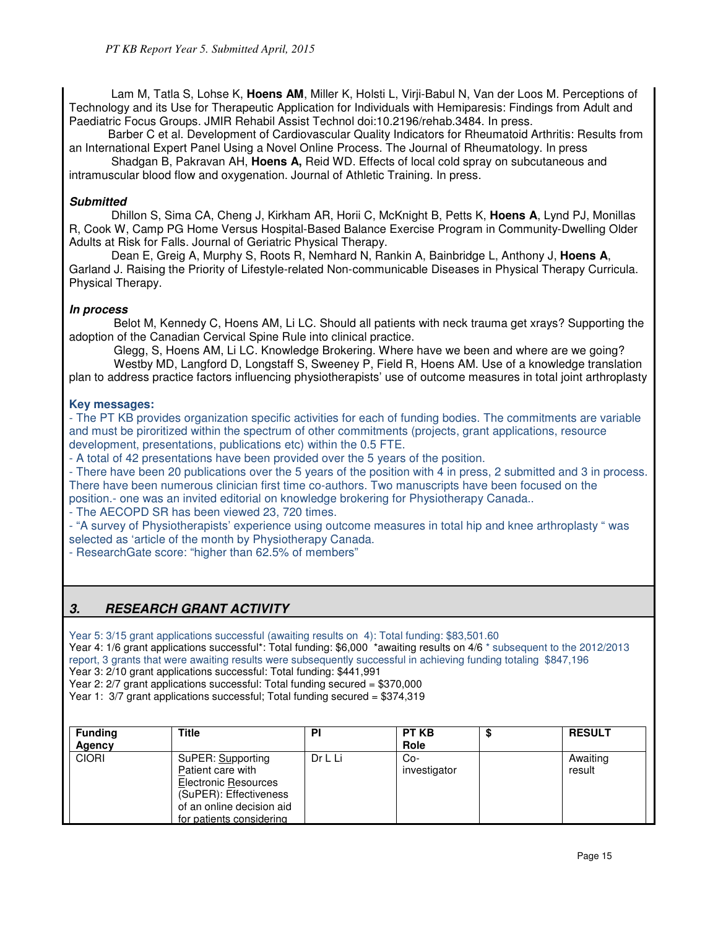Lam M, Tatla S, Lohse K, **Hoens AM**, Miller K, Holsti L, Virji-Babul N, Van der Loos M. Perceptions of Technology and its Use for Therapeutic Application for Individuals with Hemiparesis: Findings from Adult and Paediatric Focus Groups. JMIR Rehabil Assist Technol doi:10.2196/rehab.3484. In press.

 Barber C et al. Development of Cardiovascular Quality Indicators for Rheumatoid Arthritis: Results from an International Expert Panel Using a Novel Online Process. The Journal of Rheumatology. In press

Shadgan B, Pakravan AH, **Hoens A,** Reid WD. Effects of local cold spray on subcutaneous and intramuscular blood flow and oxygenation. Journal of Athletic Training. In press.

### **Submitted**

Dhillon S, Sima CA, Cheng J, Kirkham AR, Horii C, McKnight B, Petts K, **Hoens A**, Lynd PJ, Monillas R, Cook W, Camp PG Home Versus Hospital-Based Balance Exercise Program in Community-Dwelling Older Adults at Risk for Falls. Journal of Geriatric Physical Therapy.

Dean E, Greig A, Murphy S, Roots R, Nemhard N, Rankin A, Bainbridge L, Anthony J, **Hoens A**, Garland J. Raising the Priority of Lifestyle-related Non-communicable Diseases in Physical Therapy Curricula. Physical Therapy.

## **In process**

Belot M, Kennedy C, Hoens AM, Li LC. Should all patients with neck trauma get xrays? Supporting the adoption of the Canadian Cervical Spine Rule into clinical practice.

Glegg, S, Hoens AM, Li LC. Knowledge Brokering. Where have we been and where are we going? Westby MD, Langford D, Longstaff S, Sweeney P, Field R, Hoens AM. Use of a knowledge translation plan to address practice factors influencing physiotherapists' use of outcome measures in total joint arthroplasty

## **Key messages:**

- The PT KB provides organization specific activities for each of funding bodies. The commitments are variable and must be piroritized within the spectrum of other commitments (projects, grant applications, resource development, presentations, publications etc) within the 0.5 FTE.

- A total of 42 presentations have been provided over the 5 years of the position.

- There have been 20 publications over the 5 years of the position with 4 in press, 2 submitted and 3 in process. There have been numerous clinician first time co-authors. Two manuscripts have been focused on the position.- one was an invited editorial on knowledge brokering for Physiotherapy Canada..

- The AECOPD SR has been viewed 23, 720 times.

- "A survey of Physiotherapists' experience using outcome measures in total hip and knee arthroplasty " was selected as 'article of the month by Physiotherapy Canada.

- ResearchGate score: "higher than 62.5% of members"

# **3. RESEARCH GRANT ACTIVITY**

Year 5: 3/15 grant applications successful (awaiting results on 4): Total funding: \$83,501.60

Year 4: 1/6 grant applications successful\*: Total funding: \$6,000 \*awaiting results on 4/6 \* subsequent to the 2012/2013 report, 3 grants that were awaiting results were subsequently successful in achieving funding totaling \$847,196

Year 3: 2/10 grant applications successful: Total funding: \$441,991

Year 2: 2/7 grant applications successful: Total funding secured = \$370,000

Year 1: 3/7 grant applications successful; Total funding secured = \$374,319

| <b>Funding</b><br>Agency | <b>Title</b>                                                                                                                                             | PI      | <b>PT KB</b><br><b>Role</b> | ۰D | <b>RESULT</b>      |
|--------------------------|----------------------------------------------------------------------------------------------------------------------------------------------------------|---------|-----------------------------|----|--------------------|
| <b>CIORI</b>             | SuPER: Supporting<br>Patient care with<br><b>Electronic Resources</b><br>(SuPER): Effectiveness<br>of an online decision aid<br>for patients considering | Dr L Li | Co-<br>investigator         |    | Awaiting<br>result |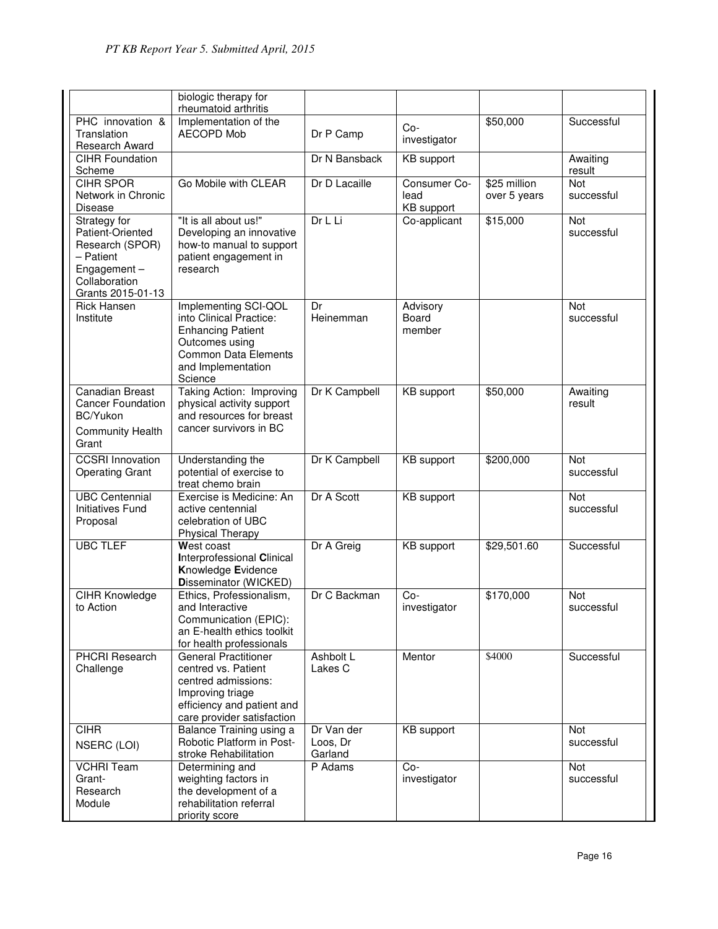|                                                                                                                          | biologic therapy for                                                                                                                                          |                                   |                                    |                              |                          |
|--------------------------------------------------------------------------------------------------------------------------|---------------------------------------------------------------------------------------------------------------------------------------------------------------|-----------------------------------|------------------------------------|------------------------------|--------------------------|
|                                                                                                                          | rheumatoid arthritis                                                                                                                                          |                                   |                                    |                              |                          |
| PHC innovation &<br>Translation<br>Research Award                                                                        | Implementation of the<br><b>AECOPD Mob</b>                                                                                                                    | Dr P Camp                         | $Co-$<br>investigator              | \$50,000                     | Successful               |
| <b>CIHR Foundation</b><br>Scheme                                                                                         |                                                                                                                                                               | Dr N Bansback                     | <b>KB</b> support                  |                              | Awaiting<br>result       |
| <b>CIHR SPOR</b><br>Network in Chronic<br><b>Disease</b>                                                                 | Go Mobile with CLEAR                                                                                                                                          | Dr D Lacaille                     | Consumer Co-<br>lead<br>KB support | \$25 million<br>over 5 years | <b>Not</b><br>successful |
| Strategy for<br>Patient-Oriented<br>Research (SPOR)<br>- Patient<br>Engagement $-$<br>Collaboration<br>Grants 2015-01-13 | "It is all about us!"<br>Developing an innovative<br>how-to manual to support<br>patient engagement in<br>research                                            | Dr L Li                           | Co-applicant                       | \$15,000                     | <b>Not</b><br>successful |
| <b>Rick Hansen</b><br>Institute                                                                                          | Implementing SCI-QOL<br>into Clinical Practice:<br><b>Enhancing Patient</b><br>Outcomes using<br><b>Common Data Elements</b><br>and Implementation<br>Science | Dr<br>Heinemman                   | Advisory<br>Board<br>member        |                              | <b>Not</b><br>successful |
| <b>Canadian Breast</b><br><b>Cancer Foundation</b><br>BC/Yukon<br><b>Community Health</b><br>Grant                       | Taking Action: Improving<br>physical activity support<br>and resources for breast<br>cancer survivors in BC                                                   | Dr K Campbell                     | <b>KB</b> support                  | \$50,000                     | Awaiting<br>result       |
| <b>CCSRI Innovation</b><br><b>Operating Grant</b>                                                                        | Understanding the<br>potential of exercise to<br>treat chemo brain                                                                                            | Dr K Campbell                     | <b>KB</b> support                  | \$200,000                    | Not<br>successful        |
| <b>UBC Centennial</b><br><b>Initiatives Fund</b><br>Proposal                                                             | Exercise is Medicine: An<br>active centennial<br>celebration of UBC<br><b>Physical Therapy</b>                                                                | Dr A Scott                        | <b>KB</b> support                  |                              | Not<br>successful        |
| <b>UBC TLEF</b>                                                                                                          | West coast<br><b>Interprofessional Clinical</b><br>Knowledge Evidence<br>Disseminator (WICKED)                                                                | Dr A Greig                        | <b>KB</b> support                  | \$29,501.60                  | Successful               |
| CIHR Knowledge<br>to Action                                                                                              | Ethics, Professionalism,<br>and Interactive<br>Communication (EPIC):<br>an E-health ethics toolkit<br>for health professionals                                | Dr C Backman                      | $Co-$<br>investigator              | \$170,000                    | Not<br>successful        |
| PHCRI Research<br>Challenge                                                                                              | <b>General Practitioner</b><br>centred vs. Patient<br>centred admissions:<br>Improving triage<br>efficiency and patient and<br>care provider satisfaction     | Ashbolt L<br>Lakes C              | Mentor                             | \$4000                       | Successful               |
| <b>CIHR</b><br>NSERC (LOI)                                                                                               | Balance Training using a<br><b>Robotic Platform in Post-</b><br>stroke Rehabilitation                                                                         | Dr Van der<br>Loos, Dr<br>Garland | <b>KB</b> support                  |                              | <b>Not</b><br>successful |
| <b>VCHRI Team</b><br>Grant-<br>Research<br>Module                                                                        | Determining and<br>weighting factors in<br>the development of a<br>rehabilitation referral<br>priority score                                                  | P Adams                           | $Co-$<br>investigator              |                              | Not<br>successful        |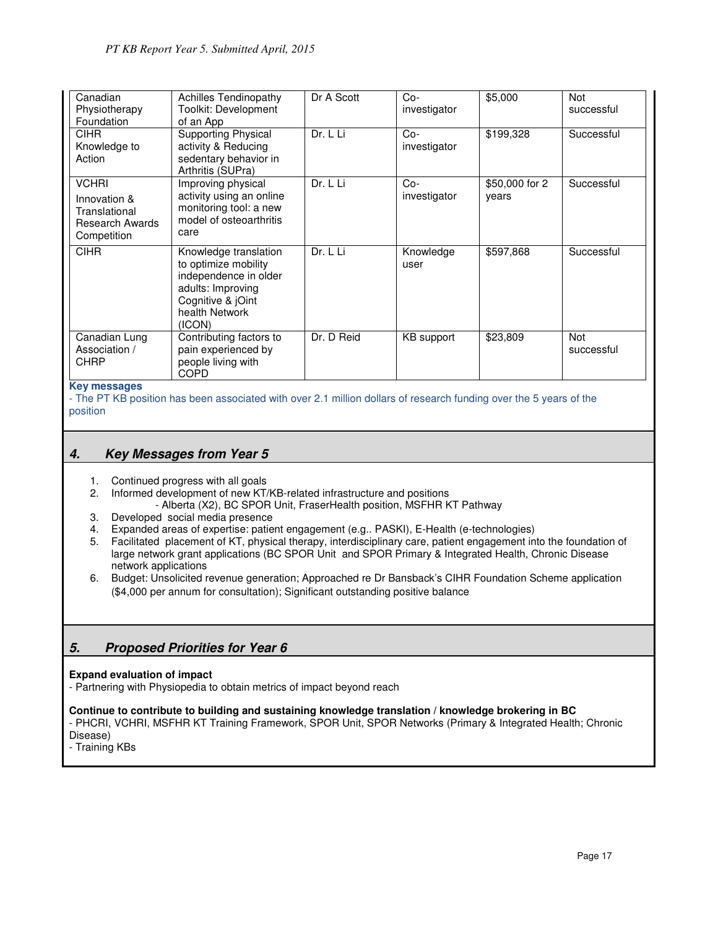| Canadian<br>Physiotherapy<br>Foundation                                                | <b>Achilles Tendinopathy</b><br>Toolkit: Development<br>of an App                                                                            | Dr A Scott | Co-<br>investigator   | \$5,000                 | Not<br>successful |
|----------------------------------------------------------------------------------------|----------------------------------------------------------------------------------------------------------------------------------------------|------------|-----------------------|-------------------------|-------------------|
| <b>CIHR</b><br>Knowledge to<br>Action                                                  | <b>Supporting Physical</b><br>activity & Reducing<br>sedentary behavior in<br>Arthritis (SUPra)                                              | Dr. L Li   | $Co-$<br>investigator | \$199,328               | Successful        |
| <b>VCHRI</b><br>Innovation &<br>Translational<br><b>Research Awards</b><br>Competition | Improving physical<br>activity using an online<br>monitoring tool: a new<br>model of osteoarthritis<br>care                                  | Dr. L Li   | $Co-$<br>investigator | \$50,000 for 2<br>years | Successful        |
| <b>CIHR</b>                                                                            | Knowledge translation<br>to optimize mobility<br>independence in older<br>adults: Improving<br>Cognitive & jOint<br>health Network<br>(ICON) | Dr. L Li   | Knowledge<br>user     | \$597,868               | Successful        |
| Canadian Lung<br>Association /<br><b>CHRP</b>                                          | Contributing factors to<br>pain experienced by<br>people living with<br><b>COPD</b>                                                          | Dr. D Reid | KB support            | \$23,809                | Not<br>successful |

#### **Key messages**

- The PT KB position has been associated with over 2.1 million dollars of research funding over the 5 years of the position

## **4. Key Messages from Year 5**

- 1. Continued progress with all goals
- 2. Informed development of new KT/KB-related infrastructure and positions
	- Alberta (X2), BC SPOR Unit, FraserHealth position, MSFHR KT Pathway
- 3. Developed social media presence
- 4. Expanded areas of expertise: patient engagement (e.g.. PASKI), E-Health (e-technologies)
- 5. Facilitated placement of KT, physical therapy, interdisciplinary care, patient engagement into the foundation of large network grant applications (BC SPOR Unit and SPOR Primary & Integrated Health, Chronic Disease network applications
- 6. Budget: Unsolicited revenue generation; Approached re Dr Bansback's CIHR Foundation Scheme application (\$4,000 per annum for consultation); Significant outstanding positive balance

# **5. Proposed Priorities for Year 6**

#### **Expand evaluation of impact**

- Partnering with Physiopedia to obtain metrics of impact beyond reach

#### **Continue to contribute to building and sustaining knowledge translation / knowledge brokering in BC**

- PHCRI, VCHRI, MSFHR KT Training Framework, SPOR Unit, SPOR Networks (Primary & Integrated Health; Chronic Disease)

- Training KBs